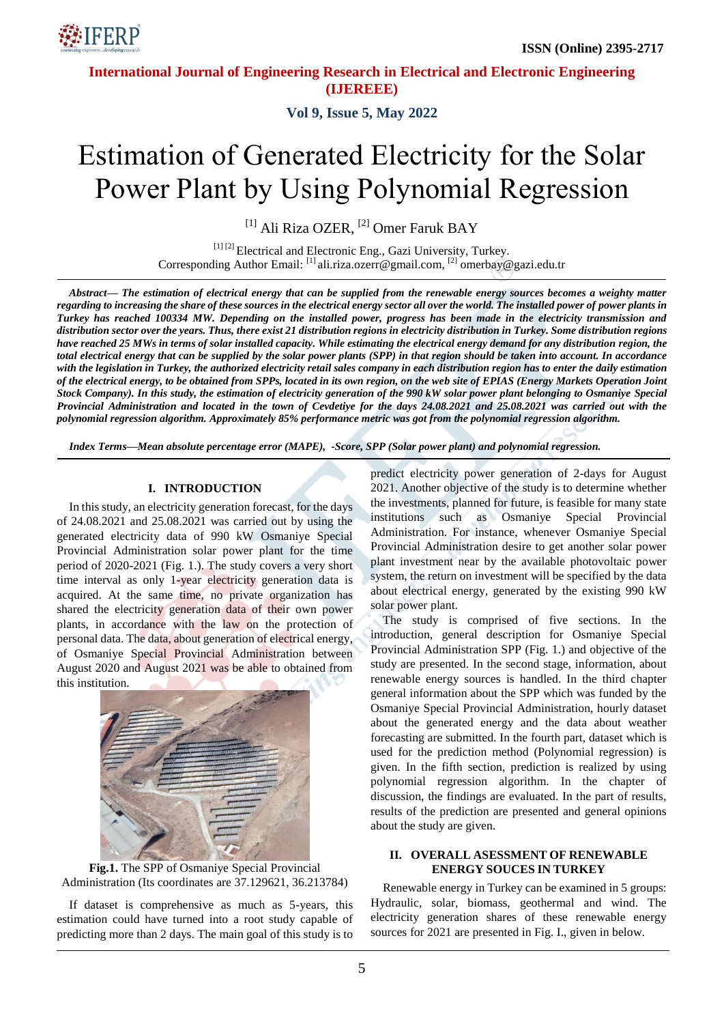

**Vol 9, Issue 5, May 2022**

# Estimation of Generated Electricity for the Solar Power Plant by Using Polynomial Regression

<sup>[1]</sup> Ali Riza OZER, <sup>[2]</sup> Omer Faruk BAY

[1] [2] Electrical and Electronic Eng., Gazi University, Turkey. Corresponding Author Email: [1] ali.riza.ozerr@gmail.com, [2] omerbay@gazi.edu.tr

*Abstract— The estimation of electrical energy that can be supplied from the renewable energy sources becomes a weighty matter regarding to increasing the share of these sources in the electrical energy sector all over the world. The installed power of power plants in Turkey has reached 100334 MW. Depending on the installed power, progress has been made in the electricity transmission and distribution sector over the years. Thus, there exist 21 distribution regions in electricity distribution in Turkey. Some distribution regions have reached 25 MWs in terms of solar installed capacity. While estimating the electrical energy demand for any distribution region, the total electrical energy that can be supplied by the solar power plants (SPP) in that region should be taken into account. In accordance with the legislation in Turkey, the authorized electricity retail sales company in each distribution region has to enter the daily estimation of the electrical energy, to be obtained from SPPs, located in its own region, on the web site of EPIAS (Energy Markets Operation Joint Stock Company). In this study, the estimation of electricity generation of the 990 kW solar power plant belonging to Osmaniye Special Provincial Administration and located in the town of Cevdetiye for the days 24.08.2021 and 25.08.2021 was carried out with the polynomial regression algorithm. Approximately 85% performance metric was got from the polynomial regression algorithm.*

*Index Terms—Mean absolute percentage error (MAPE), -Score, SPP (Solar power plant) and polynomial regression.*

#### **I. INTRODUCTION**

In this study, an electricity generation forecast, for the days of 24.08.2021 and 25.08.2021 was carried out by using the generated electricity data of 990 kW Osmaniye Special Provincial Administration solar power plant for the time period of 2020-2021 (Fig. 1.). The study covers a very short time interval as only 1-year electricity generation data is acquired. At the same time, no private organization has shared the electricity generation data of their own power plants, in accordance with the law on the protection of personal data. The data, about generation of electrical energy, of Osmaniye Special Provincial Administration between August 2020 and August 2021 was be able to obtained from this institution.





If dataset is comprehensive as much as 5-years, this estimation could have turned into a root study capable of predicting more than 2 days. The main goal of this study is to

predict electricity power generation of 2-days for August 2021. Another objective of the study is to determine whether the investments, planned for future, is feasible for many state institutions such as Osmaniye Special Provincial Administration. For instance, whenever Osmaniye Special Provincial Administration desire to get another solar power plant investment near by the available photovoltaic power system, the return on investment will be specified by the data about electrical energy, generated by the existing 990 kW solar power plant.

The study is comprised of five sections. In the introduction, general description for Osmaniye Special Provincial Administration SPP (Fig. 1.) and objective of the study are presented. In the second stage, information, about renewable energy sources is handled. In the third chapter general information about the SPP which was funded by the Osmaniye Special Provincial Administration, hourly dataset about the generated energy and the data about weather forecasting are submitted. In the fourth part, dataset which is used for the prediction method (Polynomial regression) is given. In the fifth section, prediction is realized by using polynomial regression algorithm. In the chapter of discussion, the findings are evaluated. In the part of results, results of the prediction are presented and general opinions about the study are given.

### **II. OVERALL ASESSMENT OF RENEWABLE ENERGY SOUCES IN TURKEY**

Renewable energy in Turkey can be examined in 5 groups: Hydraulic, solar, biomass, geothermal and wind. The electricity generation shares of these renewable energy sources for 2021 are presented in Fig. I., given in below.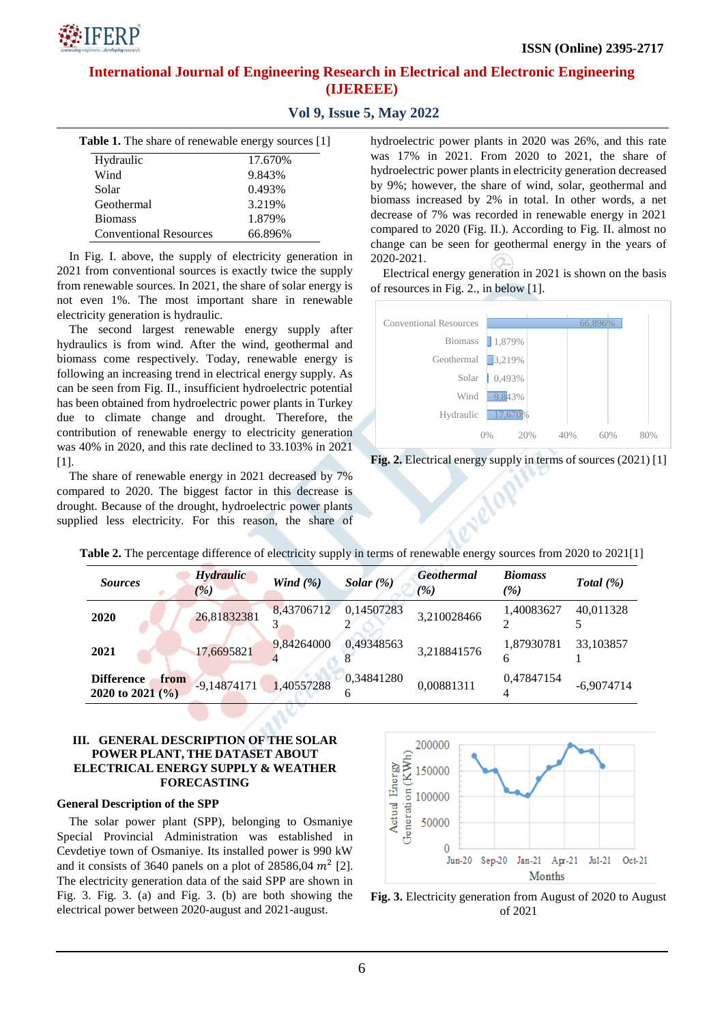| <b>Table 1.</b> The share of renewable energy sources [1] |         |  |  |  |
|-----------------------------------------------------------|---------|--|--|--|
| Hydraulic                                                 | 17.670% |  |  |  |
| Wind                                                      | 9.843%  |  |  |  |
| Solar                                                     | 0.493%  |  |  |  |
| Geothermal                                                | 3.219%  |  |  |  |
| <b>Biomass</b>                                            | 1.879%  |  |  |  |
| <b>Conventional Resources</b>                             | 66.896% |  |  |  |

:IFFRP

**Vol 9, Issue 5, May 2022**

In Fig. I. above, the supply of electricity generation in 2021 from conventional sources is exactly twice the supply from renewable sources. In 2021, the share of solar energy is not even 1%. The most important share in renewable electricity generation is hydraulic.

The second largest renewable energy supply after hydraulics is from wind. After the wind, geothermal and biomass come respectively. Today, renewable energy is following an increasing trend in electrical energy supply. As can be seen from Fig. II., insufficient hydroelectric potential has been obtained from hydroelectric power plants in Turkey due to climate change and drought. Therefore, the contribution of renewable energy to electricity generation was 40% in 2020, and this rate declined to 33.103% in 2021 [1].

The share of renewable energy in 2021 decreased by 7% compared to 2020. The biggest factor in this decrease is drought. Because of the drought, hydroelectric power plants supplied less electricity. For this reason, the share of hydroelectric power plants in 2020 was 26%, and this rate was 17% in 2021. From 2020 to 2021, the share of hydroelectric power plants in electricity generation decreased by 9%; however, the share of wind, solar, geothermal and biomass increased by 2% in total. In other words, a net decrease of 7% was recorded in renewable energy in 2021 compared to 2020 (Fig. II.). According to Fig. II. almost no change can be seen for geothermal energy in the years of 2020-2021.

Electrical energy generation in 2021 is shown on the basis of resources in Fig. 2., in below [1].



**Fig. 2.** Electrical energy supply in terms of sources (2021) [1]

| Table 2. The percentage difference of electricity supply in terms of renewable energy sources from 2020 to 2021[1] |  |  |  |
|--------------------------------------------------------------------------------------------------------------------|--|--|--|
|--------------------------------------------------------------------------------------------------------------------|--|--|--|

| <i>Sources</i>                                    | <b>Hydraulic</b><br>(%) | Wind $(\% )$ | Solar $(\%)$    | <b>Geothermal</b><br>(%) | <b>Biomass</b><br>$\frac{1}{2}$ | Total $(\%)$ |
|---------------------------------------------------|-------------------------|--------------|-----------------|--------------------------|---------------------------------|--------------|
| 2020                                              | 26,81832381             | 8,43706712   | 0,14507283      | 3,210028466              | 1,40083627                      | 40,011328    |
| 2021                                              | 17,6695821              | 9,84264000   | 0.49348563      | 3,218841576              | 1.87930781<br>h                 | 33,103857    |
| <b>Difference</b><br>from<br>2020 to 2021 $(\% )$ | $-9,14874171$           | 1,40557288   | 0,34841280<br>h | 0,00881311               | 0,47847154                      | $-6.9074714$ |

## **III. GENERAL DESCRIPTION OF THE SOLAR POWER PLANT, THE DATASET ABOUT ELECTRICAL ENERGY SUPPLY & WEATHER FORECASTING**

## **General Description of the SPP**

The solar power plant (SPP), belonging to Osmaniye Special Provincial Administration was established in Cevdetiye town of Osmaniye. Its installed power is 990 kW and it consists of 3640 panels on a plot of 28586,04  $m^2$  [2]. The electricity generation data of the said SPP are shown in Fig. 3. Fig. 3. (a) and Fig. 3. (b) are both showing the electrical power between 2020-august and 2021-august.



**Fig. 3.** Electricity generation from August of 2020 to August of 2021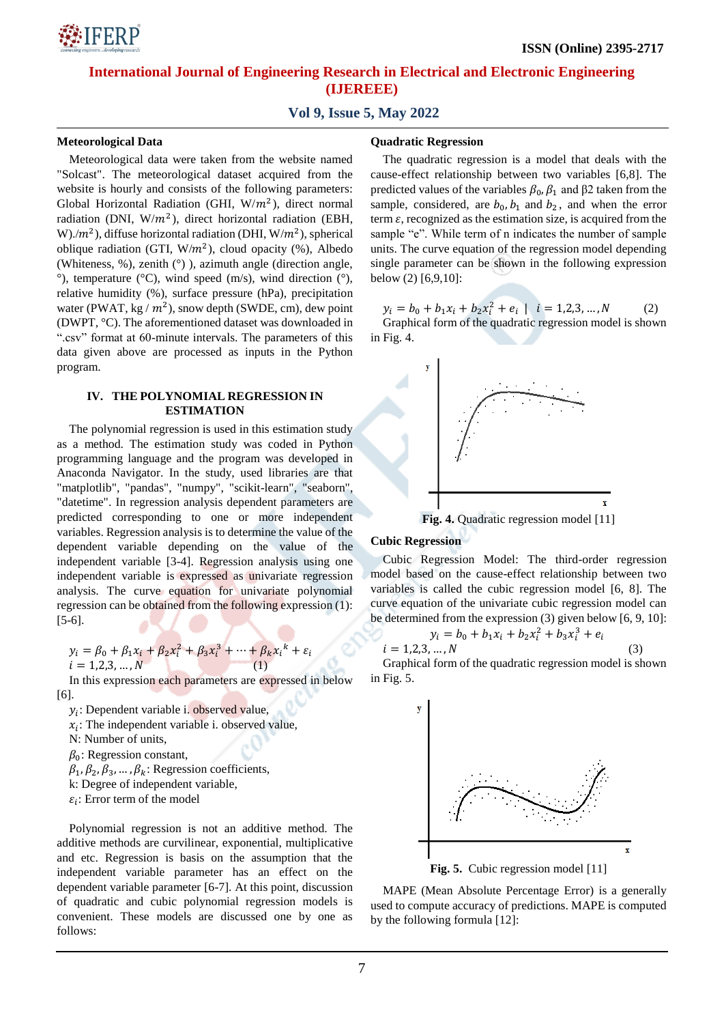## **Vol 9, Issue 5, May 2022**

## **Meteorological Data**

Meteorological data were taken from the website named "Solcast". The meteorological dataset acquired from the website is hourly and consists of the following parameters: Global Horizontal Radiation (GHI,  $W/m<sup>2</sup>$ ), direct normal radiation (DNI,  $W/m^2$ ), direct horizontal radiation (EBH, W)./ $m^2$ ), diffuse horizontal radiation (DHI, W/ $m^2$ ), spherical oblique radiation (GTI,  $W/m^2$ ), cloud opacity (%), Albedo (Whiteness, %), zenith (°) ), azimuth angle (direction angle,  $\degree$ ), temperature ( $\degree$ C), wind speed (m/s), wind direction ( $\degree$ ), relative humidity (%), surface pressure (hPa), precipitation water (PWAT, kg /  $m^2$ ), snow depth (SWDE, cm), dew point (DWPT, °C). The aforementioned dataset was downloaded in ".csv" format at 60-minute intervals. The parameters of this data given above are processed as inputs in the Python program.

## **IV. THE POLYNOMIAL REGRESSION IN ESTIMATION**

The polynomial regression is used in this estimation study as a method. The estimation study was coded in Python programming language and the program was developed in Anaconda Navigator. In the study, used libraries are that "matplotlib", "pandas", "numpy", "scikit-learn", "seaborn", "datetime". In regression analysis dependent parameters are predicted corresponding to one or more independent variables. Regression analysis is to determine the value of the dependent variable depending on the value of the independent variable [3-4]. Regression analysis using one independent variable is expressed as univariate regression analysis. The curve equation for univariate polynomial regression can be obtained from the following expression (1): [5-6].

$$
y_i = \beta_0 + \beta_1 x_i + \beta_2 x_i^2 + \beta_3 x_i^3 + \dots + \beta_k x_i^k + \varepsilon_i
$$
  
\n
$$
i = 1, 2, 3, \dots, N
$$
 (1)

In this expression each parameters are expressed in below [6].

- $y_i$ : Dependent variable i. observed value,
- $x_i$ : The independent variable i. observed value,
- N: Number of units,
- $\beta_0$ : Regression constant,
- $\beta_1$ ,  $\beta_2$ ,  $\beta_3$ , ...,  $\beta_k$ : Regression coefficients,
- k: Degree of independent variable,
- $\varepsilon_i$ : Error term of the model

Polynomial regression is not an additive method. The additive methods are curvilinear, exponential, multiplicative and etc. Regression is basis on the assumption that the independent variable parameter has an effect on the dependent variable parameter [6-7]. At this point, discussion of quadratic and cubic polynomial regression models is convenient. These models are discussed one by one as follows:

#### **Quadratic Regression**

The quadratic regression is a model that deals with the cause-effect relationship between two variables [6,8]. The predicted values of the variables  $β_0$ ,  $β_1$  and  $β2$  taken from the sample, considered, are  $b_0$ ,  $b_1$  and  $b_2$ , and when the error term  $\varepsilon$ , recognized as the estimation size, is acquired from the sample "e". While term of n indicates the number of sample units. The curve equation of the regression model depending single parameter can be shown in the following expression below (2) [6,9,10]:

 $y_i = b_0 + b_1 x_i + b_2 x_i^2 + e_i \mid i = 1, 2, 3, ..., N$  (2) Graphical form of the quadratic regression model is shown in Fig. 4.



**Fig. 4.** Quadratic regression model [11]

## **Cubic Regression**

Cubic Regression Model: The third-order regression model based on the cause-effect relationship between two variables is called the cubic regression model [6, 8]. The curve equation of the univariate cubic regression model can be determined from the expression (3) given below [6, 9, 10]:

$$
y_i = b_0 + b_1 x_i + b_2 x_i^2 + b_3 x_i^3 + e_i
$$
  

$$
i = 1, 2, 3, ..., N
$$
 (3)

Graphical form of the quadratic regression model is shown in Fig. 5.



**Fig. 5.** Cubic regression model [11]

MAPE (Mean Absolute Percentage Error) is a generally used to compute accuracy of predictions. MAPE is computed by the following formula [12]: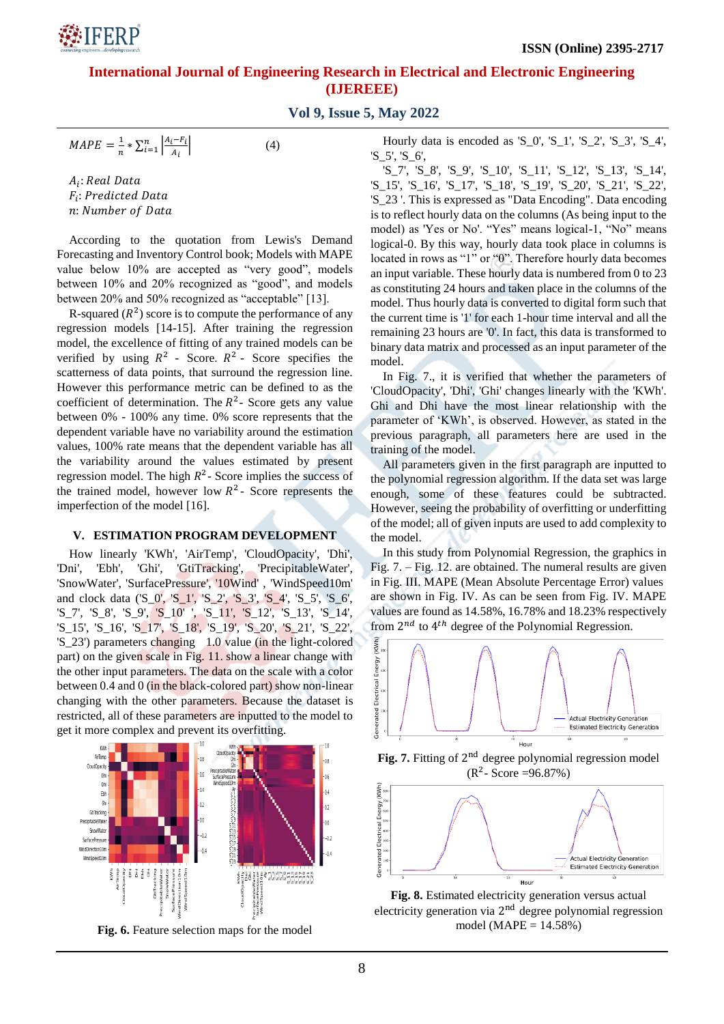**Vol 9, Issue 5, May 2022**

$$
MAPE = \frac{1}{n} * \sum_{i=1}^{n} \left| \frac{A_i - F_i}{A_i} \right|
$$

 $A_i$ :  $F_i$ : n: Number of Data

**SIFFRP** 

According to the quotation from Lewis's Demand Forecasting and Inventory Control book; Models with MAPE value below 10% are accepted as "very good", models between 10% and 20% recognized as "good", and models between 20% and 50% recognized as "acceptable" [13].

(4)

R-squared  $(R^2)$  score is to compute the performance of any regression models [14-15]. After training the regression model, the excellence of fitting of any trained models can be verified by using  $R^2$  - Score.  $R^2$  - Score specifies the scatterness of data points, that surround the regression line. However this performance metric can be defined to as the coefficient of determination. The  $R^2$ - Score gets any value between 0% - 100% any time. 0% score represents that the dependent variable have no variability around the estimation values, 100% rate means that the dependent variable has all the variability around the values estimated by present regression model. The high  $R^2$ - Score implies the success of the trained model, however low  $R^2$ - Score represents the imperfection of the model [16].

#### **V. ESTIMATION PROGRAM DEVELOPMENT**

How linearly 'KWh', 'AirTemp', 'CloudOpacity', 'Dhi', 'Dni', 'Ebh', 'Ghi', 'GtiTracking', 'PrecipitableWater', 'SnowWater', 'SurfacePressure', '10Wind' , 'WindSpeed10m' and clock data ('S\_0', 'S\_1', 'S\_2', 'S\_3', 'S\_4', 'S\_5', 'S\_6', 'S\_7', 'S\_8', 'S\_9', 'S\_10' ', 'S\_11', 'S\_12', 'S\_13', 'S\_14', 'S\_15', 'S\_16', 'S\_17', 'S\_18', 'S\_19', 'S\_20', 'S\_21', 'S\_22', 'S\_23') parameters changing 1.0 value (in the light-colored part) on the given scale in Fig. 11. show a linear change with the other input parameters. The data on the scale with a color between 0.4 and 0 (in the black-colored part) show non-linear changing with the other parameters. Because the dataset is restricted, all of these parameters are inputted to the model to get it more complex and prevent its overfitting.



**Fig. 6.** Feature selection maps for the model

Hourly data is encoded as 'S\_0', 'S\_1', 'S\_2', 'S\_3', 'S\_4', 'S\_5', 'S\_6',

'S\_7', 'S\_8', 'S\_9', 'S\_10', 'S\_11', 'S\_12', 'S\_13', 'S\_14', 'S\_15', 'S\_16', 'S\_17', 'S\_18', 'S\_19', 'S\_20', 'S\_21', 'S\_22', 'S\_23 '. This is expressed as "Data Encoding". Data encoding is to reflect hourly data on the columns (As being input to the model) as 'Yes or No'. "Yes" means logical-1, "No" means logical-0. By this way, hourly data took place in columns is located in rows as "1" or "0". Therefore hourly data becomes an input variable. These hourly data is numbered from 0 to 23 as constituting 24 hours and taken place in the columns of the model. Thus hourly data is converted to digital form such that the current time is '1' for each 1-hour time interval and all the remaining 23 hours are '0'. In fact, this data is transformed to binary data matrix and processed as an input parameter of the model.

In Fig. 7., it is verified that whether the parameters of 'CloudOpacity', 'Dhi', 'Ghi' changes linearly with the 'KWh'. Ghi and Dhi have the most linear relationship with the parameter of "KWh", is observed. However, as stated in the previous paragraph, all parameters here are used in the training of the model.

All parameters given in the first paragraph are inputted to the polynomial regression algorithm. If the data set was large enough, some of these features could be subtracted. However, seeing the probability of overfitting or underfitting of the model; all of given inputs are used to add complexity to the model.

In this study from Polynomial Regression, the graphics in Fig. 7. – Fig. 12. are obtained. The numeral results are given in Fig. III. MAPE (Mean Absolute Percentage Error) values are shown in Fig. IV. As can be seen from Fig. IV. MAPE values are found as 14.58%, 16.78% and 18.23% respectively from  $2^{nd}$  to  $4^{th}$  degree of the Polynomial Regression.



Fig. 7. Fitting of 2<sup>nd</sup> degree polynomial regression model  $(R^2 - Score = 96.87\%)$ 



**Fig. 8.** Estimated electricity generation versus actual electricity generation via 2<sup>nd</sup> degree polynomial regression model ( $MAPE = 14.58\%$ )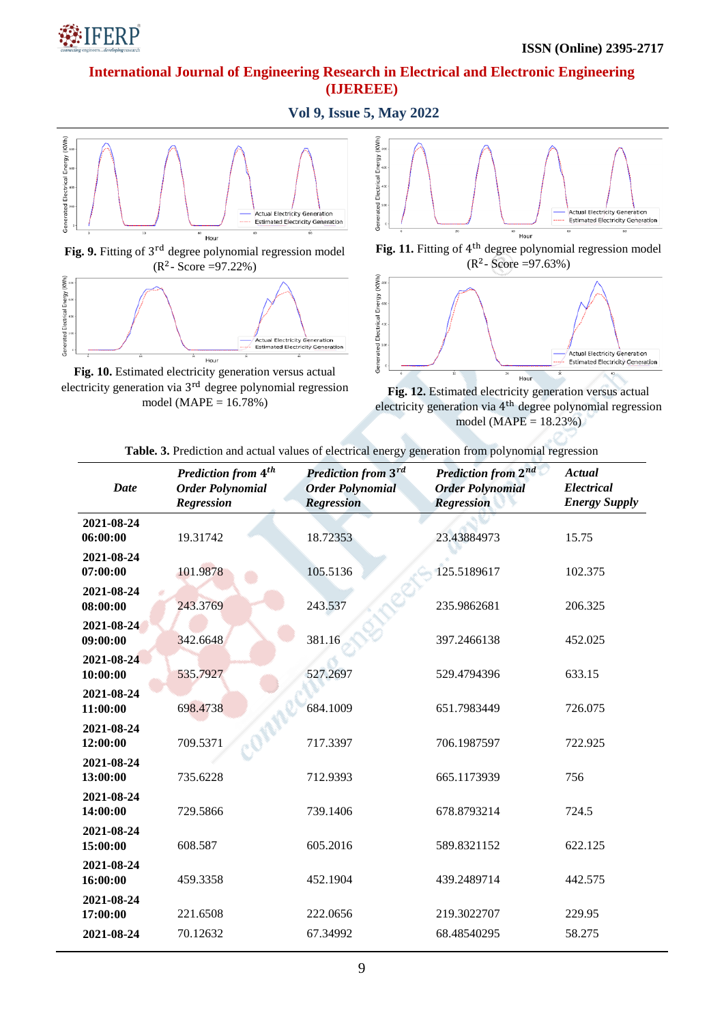

**Vol 9, Issue 5, May 2022**





**Fig. 10.** Estimated electricity generation versus actual electricity generation via 3<sup>rd</sup> degree polynomial regression model ( $MAPE = 16.78%$ )



Fig. 11. Fitting of 4<sup>th</sup> degree polynomial regression model  $(R^2 - Score = 97.63%)$ 



**Fig. 12.** Estimated electricity generation versus actual electricity generation via  $4<sup>th</sup>$  degree polynomial regression model ( $MAPE = 18.23\%$ )

| <b>Table. 3.</b> Prediction and actual values of electrical energy generation from polynomial regression |  |  |  |
|----------------------------------------------------------------------------------------------------------|--|--|--|

÷.

| <b>Date</b>            | <b>Prediction from 4th</b><br><b>Order Polynomial</b><br><b>Regression</b> | Prediction from 3rd<br><b>Order Polynomial</b><br><b>Regression</b> | <b>Prediction from 2nd</b><br><b>Order Polynomial</b><br><b>Regression</b> | Actual<br>Electrical<br><b>Energy Supply</b> |
|------------------------|----------------------------------------------------------------------------|---------------------------------------------------------------------|----------------------------------------------------------------------------|----------------------------------------------|
| 2021-08-24<br>06:00:00 | 19.31742                                                                   | 18.72353                                                            | 23.43884973                                                                | 15.75                                        |
| 2021-08-24<br>07:00:00 | 101.9878                                                                   | 105.5136                                                            | 125.5189617                                                                | 102.375                                      |
| 2021-08-24<br>08:00:00 | 243.3769                                                                   | 243.537                                                             | 235.9862681                                                                | 206.325                                      |
| 2021-08-24<br>09:00:00 | 342.6648                                                                   | 381.16                                                              | 397.2466138                                                                | 452.025                                      |
| 2021-08-24<br>10:00:00 | 535.7927                                                                   | 527.2697                                                            | 529.4794396                                                                | 633.15                                       |
| 2021-08-24<br>11:00:00 | 698.4738                                                                   | 684.1009                                                            | 651.7983449                                                                | 726.075                                      |
| 2021-08-24<br>12:00:00 | 709.5371                                                                   | 717.3397                                                            | 706.1987597                                                                | 722.925                                      |
| 2021-08-24<br>13:00:00 | 735.6228                                                                   | 712.9393                                                            | 665.1173939                                                                | 756                                          |
| 2021-08-24<br>14:00:00 | 729.5866                                                                   | 739.1406                                                            | 678.8793214                                                                | 724.5                                        |
| 2021-08-24<br>15:00:00 | 608.587                                                                    | 605.2016                                                            | 589.8321152                                                                | 622.125                                      |
| 2021-08-24<br>16:00:00 | 459.3358                                                                   | 452.1904                                                            | 439.2489714                                                                | 442.575                                      |
| 2021-08-24<br>17:00:00 | 221.6508                                                                   | 222.0656                                                            | 219.3022707                                                                | 229.95                                       |
| 2021-08-24             | 70.12632                                                                   | 67.34992                                                            | 68.48540295                                                                | 58.275                                       |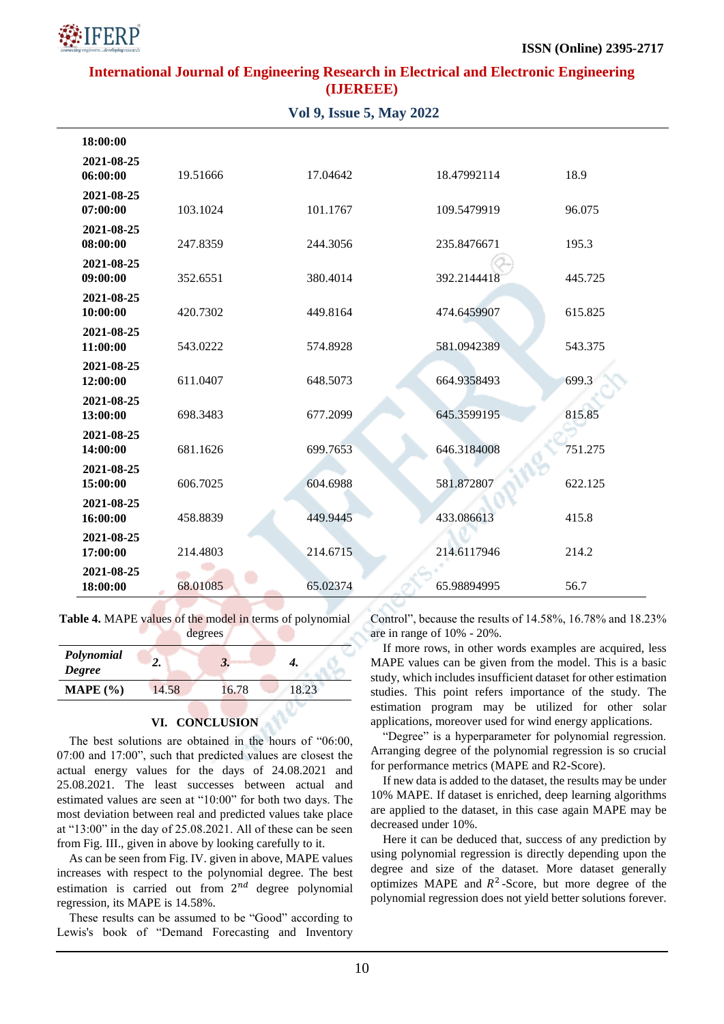

| <b>Vol 9, Issue 5, May 2022</b> |          |          |             |         |  |  |
|---------------------------------|----------|----------|-------------|---------|--|--|
| 18:00:00                        |          |          |             |         |  |  |
| 2021-08-25<br>06:00:00          | 19.51666 | 17.04642 | 18.47992114 | 18.9    |  |  |
| 2021-08-25<br>07:00:00          | 103.1024 | 101.1767 | 109.5479919 | 96.075  |  |  |
| 2021-08-25<br>08:00:00          | 247.8359 | 244.3056 | 235.8476671 | 195.3   |  |  |
| 2021-08-25<br>09:00:00          | 352.6551 | 380.4014 | 392.2144418 | 445.725 |  |  |
| 2021-08-25<br>10:00:00          | 420.7302 | 449.8164 | 474.6459907 | 615.825 |  |  |
| 2021-08-25<br>11:00:00          | 543.0222 | 574.8928 | 581.0942389 | 543.375 |  |  |
| 2021-08-25<br>12:00:00          | 611.0407 | 648.5073 | 664.9358493 | 699.3   |  |  |
| 2021-08-25<br>13:00:00          | 698.3483 | 677.2099 | 645.3599195 | 815.85  |  |  |
| 2021-08-25<br>14:00:00          | 681.1626 | 699.7653 | 646.3184008 | 751.275 |  |  |
| 2021-08-25<br>15:00:00          | 606.7025 | 604.6988 | 581.872807  | 622.125 |  |  |
| 2021-08-25<br>16:00:00          | 458.8839 | 449.9445 | 433.086613  | 415.8   |  |  |
| 2021-08-25<br>17:00:00          | 214.4803 | 214.6715 | 214.6117946 | 214.2   |  |  |
| 2021-08-25<br>18:00:00          | 68.01085 | 65.02374 | 65.98894995 | 56.7    |  |  |

degrees

**Table 4.** MAPE values of the model in terms of polynomial

| Polynomial<br><b>Degree</b> | ـ،    | J,    |       |  |
|-----------------------------|-------|-------|-------|--|
| MAPE $(\% )$                | 14.58 | 16.78 | 18.23 |  |
|                             |       |       |       |  |

## **VI. CONCLUSION**

The best solutions are obtained in the hours of "06:00, 07:00 and 17:00", such that predicted values are closest the actual energy values for the days of 24.08.2021 and 25.08.2021. The least successes between actual and estimated values are seen at "10:00" for both two days. The most deviation between real and predicted values take place at "13:00" in the day of 25.08.2021. All of these can be seen from Fig. III., given in above by looking carefully to it.

As can be seen from Fig. IV. given in above, MAPE values increases with respect to the polynomial degree. The best estimation is carried out from  $2^{nd}$  degree polynomial regression, its MAPE is 14.58%.

These results can be assumed to be "Good" according to Lewis's book of "Demand Forecasting and Inventory Control", because the results of 14.58%, 16.78% and 18.23% are in range of 10% - 20%.

If more rows, in other words examples are acquired, less MAPE values can be given from the model. This is a basic study, which includes insufficient dataset for other estimation studies. This point refers importance of the study. The estimation program may be utilized for other solar applications, moreover used for wind energy applications.

"Degree" is a hyperparameter for polynomial regression. Arranging degree of the polynomial regression is so crucial for performance metrics (MAPE and R2-Score).

If new data is added to the dataset, the results may be under 10% MAPE. If dataset is enriched, deep learning algorithms are applied to the dataset, in this case again MAPE may be decreased under 10%.

Here it can be deduced that, success of any prediction by using polynomial regression is directly depending upon the degree and size of the dataset. More dataset generally optimizes MAPE and  $R^2$ -Score, but more degree of the polynomial regression does not yield better solutions forever.